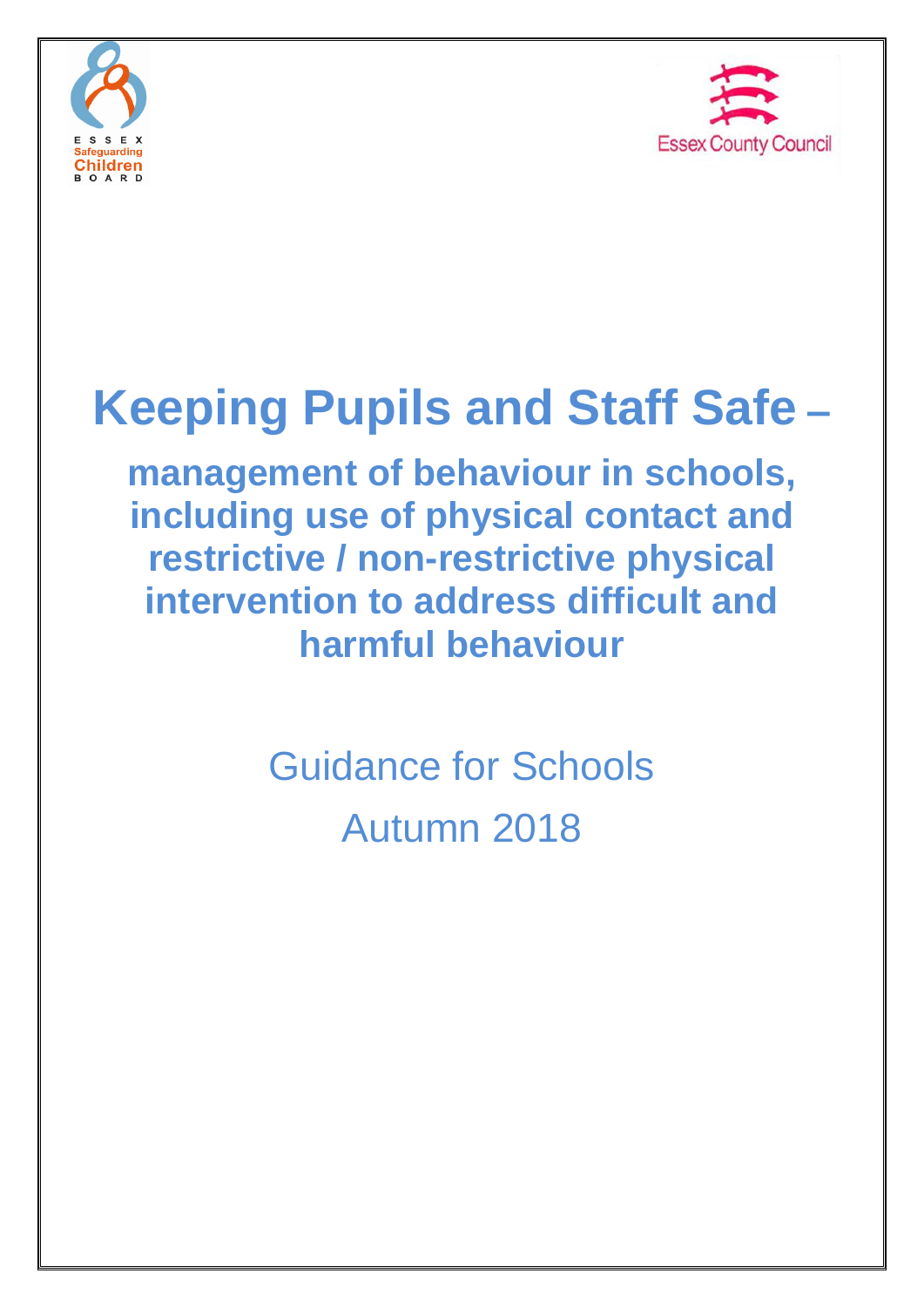



# **Keeping Pupils and Staff Safe –**

**management of behaviour in schools, including use of physical contact and restrictive / non-restrictive physical intervention to address difficult and harmful behaviour**

> Guidance for Schools Autumn 2018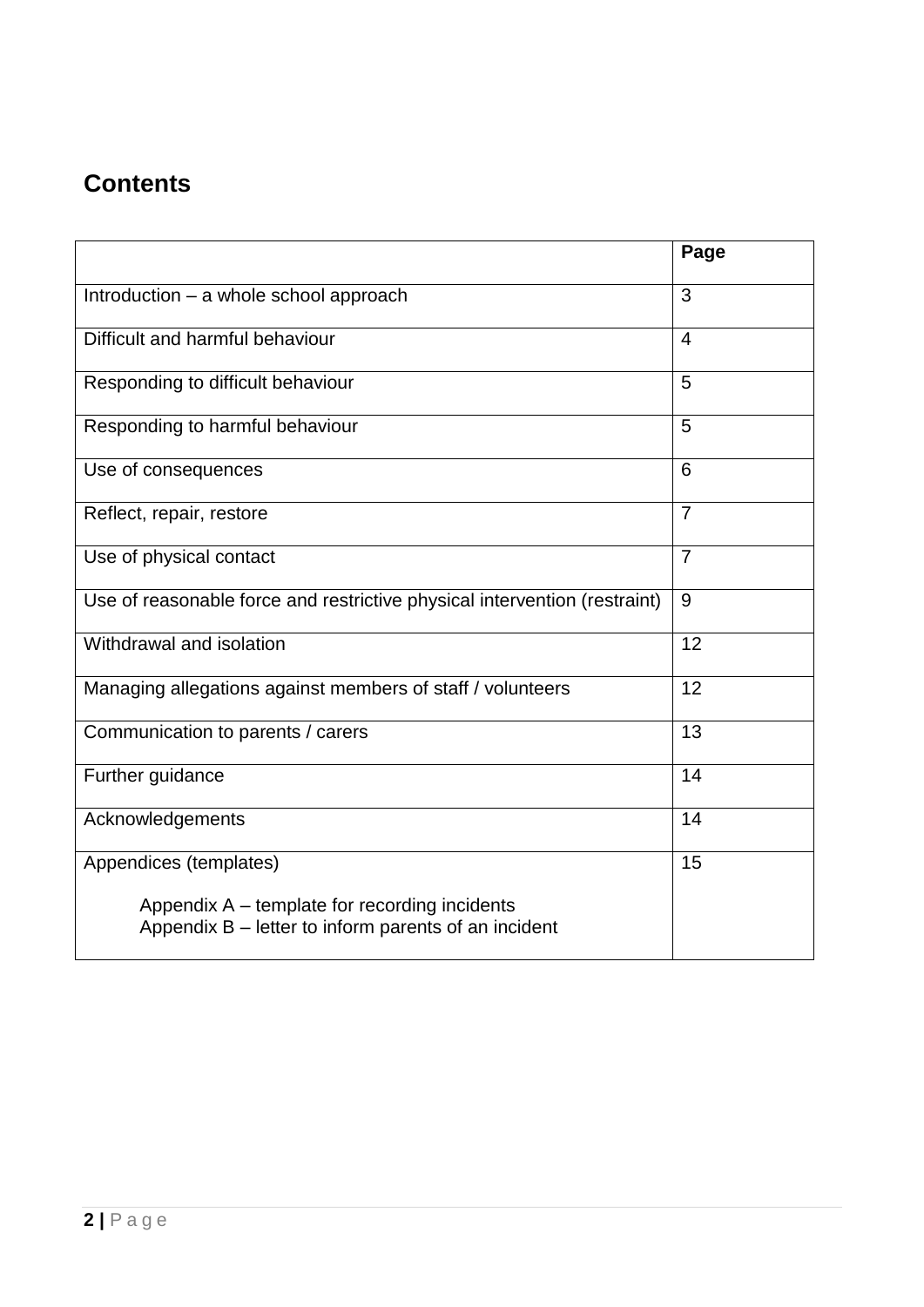# **Contents**

|                                                                                                         | Page           |
|---------------------------------------------------------------------------------------------------------|----------------|
| Introduction - a whole school approach                                                                  | 3              |
| Difficult and harmful behaviour                                                                         | $\overline{4}$ |
| Responding to difficult behaviour                                                                       | 5              |
| Responding to harmful behaviour                                                                         | 5              |
| Use of consequences                                                                                     | 6              |
| Reflect, repair, restore                                                                                | $\overline{7}$ |
| Use of physical contact                                                                                 | $\overline{7}$ |
| Use of reasonable force and restrictive physical intervention (restraint)                               | 9              |
| Withdrawal and isolation                                                                                | 12             |
| Managing allegations against members of staff / volunteers                                              | 12             |
| Communication to parents / carers                                                                       | 13             |
| Further guidance                                                                                        | 14             |
| Acknowledgements                                                                                        | 14             |
| Appendices (templates)                                                                                  | 15             |
| Appendix A – template for recording incidents<br>Appendix $B$ – letter to inform parents of an incident |                |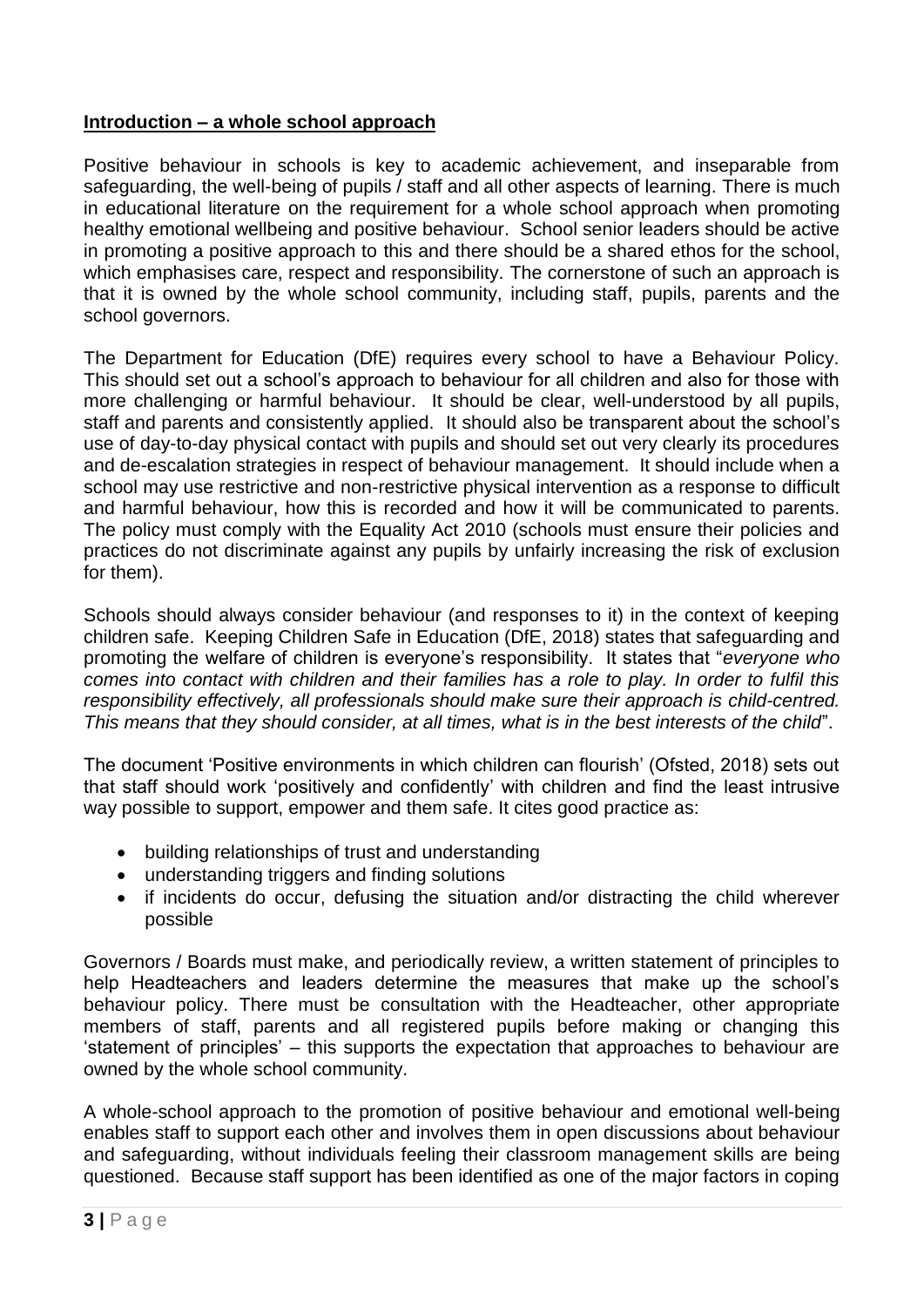# **Introduction – a whole school approach**

Positive behaviour in schools is key to academic achievement, and inseparable from safeguarding, the well-being of pupils / staff and all other aspects of learning. There is much in educational literature on the requirement for a whole school approach when promoting healthy emotional wellbeing and positive behaviour. School senior leaders should be active in promoting a positive approach to this and there should be a shared ethos for the school, which emphasises care, respect and responsibility. The cornerstone of such an approach is that it is owned by the whole school community, including staff, pupils, parents and the school governors.

The Department for Education (DfE) requires every school to have a Behaviour Policy. This should set out a school's approach to behaviour for all children and also for those with more challenging or harmful behaviour. It should be clear, well-understood by all pupils, staff and parents and consistently applied. It should also be transparent about the school's use of day-to-day physical contact with pupils and should set out very clearly its procedures and de-escalation strategies in respect of behaviour management. It should include when a school may use restrictive and non-restrictive physical intervention as a response to difficult and harmful behaviour, how this is recorded and how it will be communicated to parents. The policy must comply with the Equality Act 2010 (schools must ensure their policies and practices do not discriminate against any pupils by unfairly increasing the risk of exclusion for them).

Schools should always consider behaviour (and responses to it) in the context of keeping children safe. Keeping Children Safe in Education (DfE, 2018) states that safeguarding and promoting the welfare of children is everyone's responsibility. It states that "*everyone who comes into contact with children and their families has a role to play. In order to fulfil this responsibility effectively, all professionals should make sure their approach is child-centred. This means that they should consider, at all times, what is in the best interests of the child*".

The document 'Positive environments in which children can flourish' (Ofsted, 2018) sets out that staff should work 'positively and confidently' with children and find the least intrusive way possible to support, empower and them safe. It cites good practice as:

- building relationships of trust and understanding
- understanding triggers and finding solutions
- if incidents do occur, defusing the situation and/or distracting the child wherever possible

Governors / Boards must make, and periodically review, a written statement of principles to help Headteachers and leaders determine the measures that make up the school's behaviour policy. There must be consultation with the Headteacher, other appropriate members of staff, parents and all registered pupils before making or changing this 'statement of principles' – this supports the expectation that approaches to behaviour are owned by the whole school community.

A whole-school approach to the promotion of positive behaviour and emotional well-being enables staff to support each other and involves them in open discussions about behaviour and safeguarding, without individuals feeling their classroom management skills are being questioned. Because staff support has been identified as one of the major factors in coping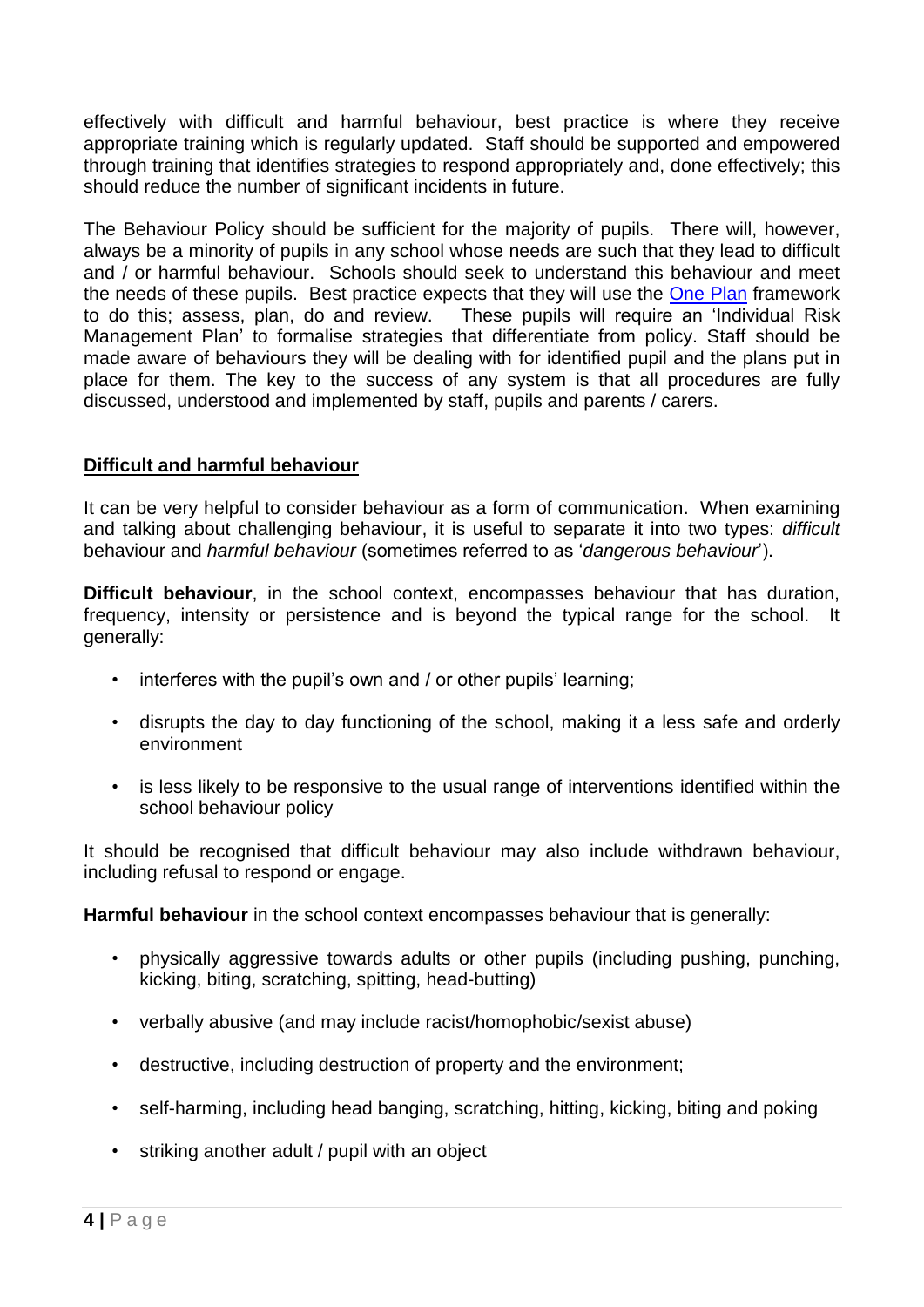effectively with difficult and harmful behaviour, best practice is where they receive appropriate training which is regularly updated. Staff should be supported and empowered through training that identifies strategies to respond appropriately and, done effectively; this should reduce the number of significant incidents in future.

The Behaviour Policy should be sufficient for the majority of pupils. There will, however, always be a minority of pupils in any school whose needs are such that they lead to difficult and / or harmful behaviour. Schools should seek to understand this behaviour and meet the needs of these pupils. Best practice expects that they will use the [One Plan](https://schools-secure.essex.gov.uk/pupils/sen/The%20One%20Plan%20Environment/Pages/The%20One%20Plan%20Environment.aspx) framework to do this; assess, plan, do and review. These pupils will require an 'Individual Risk Management Plan' to formalise strategies that differentiate from policy. Staff should be made aware of behaviours they will be dealing with for identified pupil and the plans put in place for them. The key to the success of any system is that all procedures are fully discussed, understood and implemented by staff, pupils and parents / carers.

# **Difficult and harmful behaviour**

It can be very helpful to consider behaviour as a form of communication. When examining and talking about challenging behaviour, it is useful to separate it into two types: *difficult*  behaviour and *harmful behaviour* (sometimes referred to as '*dangerous behaviour*').

**Difficult behaviour**, in the school context, encompasses behaviour that has duration, frequency, intensity or persistence and is beyond the typical range for the school. It generally:

- interferes with the pupil's own and / or other pupils' learning;
- disrupts the day to day functioning of the school, making it a less safe and orderly environment
- is less likely to be responsive to the usual range of interventions identified within the school behaviour policy

It should be recognised that difficult behaviour may also include withdrawn behaviour, including refusal to respond or engage.

**Harmful behaviour** in the school context encompasses behaviour that is generally:

- physically aggressive towards adults or other pupils (including pushing, punching, kicking, biting, scratching, spitting, head-butting)
- verbally abusive (and may include racist/homophobic/sexist abuse)
- destructive, including destruction of property and the environment;
- self-harming, including head banging, scratching, hitting, kicking, biting and poking
- striking another adult / pupil with an object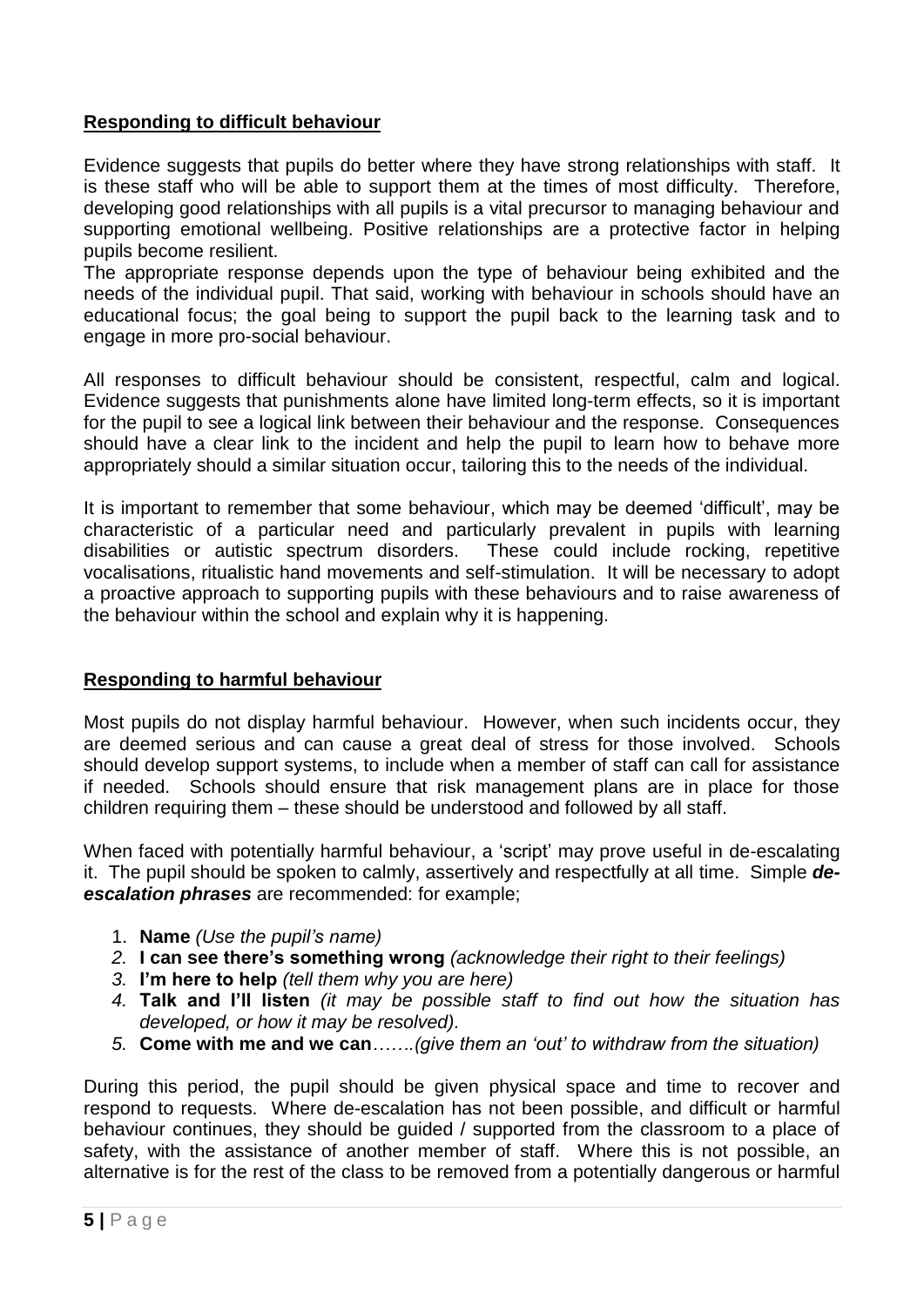# **Responding to difficult behaviour**

Evidence suggests that pupils do better where they have strong relationships with staff. It is these staff who will be able to support them at the times of most difficulty. Therefore, developing good relationships with all pupils is a vital precursor to managing behaviour and supporting emotional wellbeing. Positive relationships are a protective factor in helping pupils become resilient.

The appropriate response depends upon the type of behaviour being exhibited and the needs of the individual pupil. That said, working with behaviour in schools should have an educational focus; the goal being to support the pupil back to the learning task and to engage in more pro-social behaviour.

All responses to difficult behaviour should be consistent, respectful, calm and logical. Evidence suggests that punishments alone have limited long-term effects, so it is important for the pupil to see a logical link between their behaviour and the response. Consequences should have a clear link to the incident and help the pupil to learn how to behave more appropriately should a similar situation occur, tailoring this to the needs of the individual.

It is important to remember that some behaviour, which may be deemed 'difficult', may be characteristic of a particular need and particularly prevalent in pupils with learning disabilities or autistic spectrum disorders. These could include rocking, repetitive vocalisations, ritualistic hand movements and self-stimulation. It will be necessary to adopt a proactive approach to supporting pupils with these behaviours and to raise awareness of the behaviour within the school and explain why it is happening.

# **Responding to harmful behaviour**

Most pupils do not display harmful behaviour. However, when such incidents occur, they are deemed serious and can cause a great deal of stress for those involved. Schools should develop support systems, to include when a member of staff can call for assistance if needed. Schools should ensure that risk management plans are in place for those children requiring them – these should be understood and followed by all staff.

When faced with potentially harmful behaviour, a 'script' may prove useful in de-escalating it. The pupil should be spoken to calmly, assertively and respectfully at all time. Simple *deescalation phrases* are recommended: for example;

- 1. **Name** *(Use the pupil's name)*
- *2.* **I can see there's something wrong** *(acknowledge their right to their feelings)*
- *3.* **I'm here to help** *(tell them why you are here)*
- *4.* **Talk and I'll listen** *(it may be possible staff to find out how the situation has developed, or how it may be resolved).*
- *5.* **Come with me and we can***…….(give them an 'out' to withdraw from the situation)*

During this period, the pupil should be given physical space and time to recover and respond to requests. Where de-escalation has not been possible, and difficult or harmful behaviour continues, they should be guided / supported from the classroom to a place of safety, with the assistance of another member of staff. Where this is not possible, an alternative is for the rest of the class to be removed from a potentially dangerous or harmful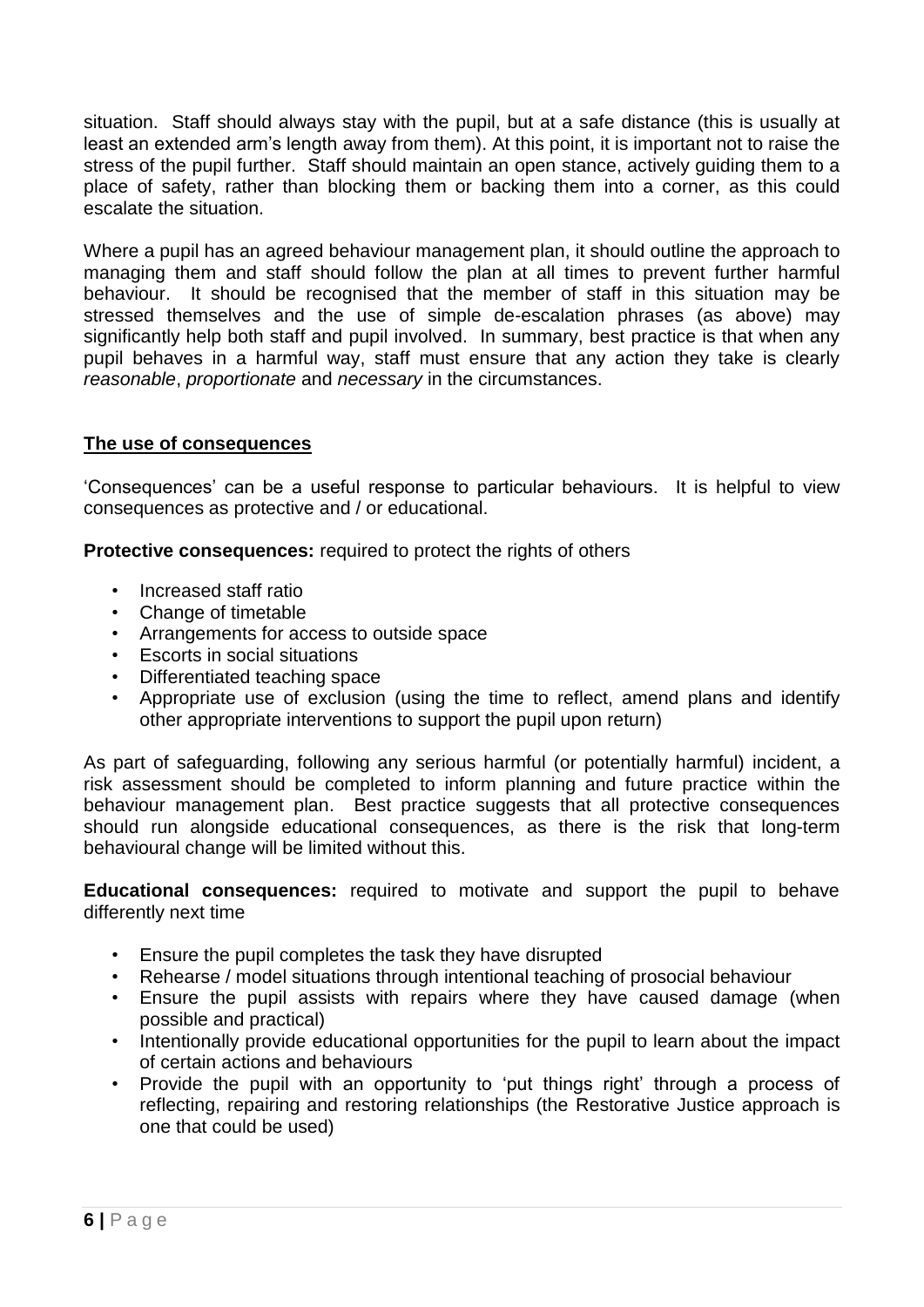situation. Staff should always stay with the pupil, but at a safe distance (this is usually at least an extended arm's length away from them). At this point, it is important not to raise the stress of the pupil further. Staff should maintain an open stance, actively guiding them to a place of safety, rather than blocking them or backing them into a corner, as this could escalate the situation.

Where a pupil has an agreed behaviour management plan, it should outline the approach to managing them and staff should follow the plan at all times to prevent further harmful behaviour. It should be recognised that the member of staff in this situation may be stressed themselves and the use of simple de-escalation phrases (as above) may significantly help both staff and pupil involved. In summary, best practice is that when any pupil behaves in a harmful way, staff must ensure that any action they take is clearly *reasonable*, *proportionate* and *necessary* in the circumstances.

# **The use of consequences**

'Consequences' can be a useful response to particular behaviours. It is helpful to view consequences as protective and / or educational.

**Protective consequences:** required to protect the rights of others

- Increased staff ratio
- Change of timetable
- Arrangements for access to outside space
- Escorts in social situations
- Differentiated teaching space
- Appropriate use of exclusion (using the time to reflect, amend plans and identify other appropriate interventions to support the pupil upon return)

As part of safeguarding, following any serious harmful (or potentially harmful) incident, a risk assessment should be completed to inform planning and future practice within the behaviour management plan. Best practice suggests that all protective consequences should run alongside educational consequences, as there is the risk that long-term behavioural change will be limited without this.

**Educational consequences:** required to motivate and support the pupil to behave differently next time

- Ensure the pupil completes the task they have disrupted
- Rehearse / model situations through intentional teaching of prosocial behaviour
- Ensure the pupil assists with repairs where they have caused damage (when possible and practical)
- Intentionally provide educational opportunities for the pupil to learn about the impact of certain actions and behaviours
- Provide the pupil with an opportunity to 'put things right' through a process of reflecting, repairing and restoring relationships (the Restorative Justice approach is one that could be used)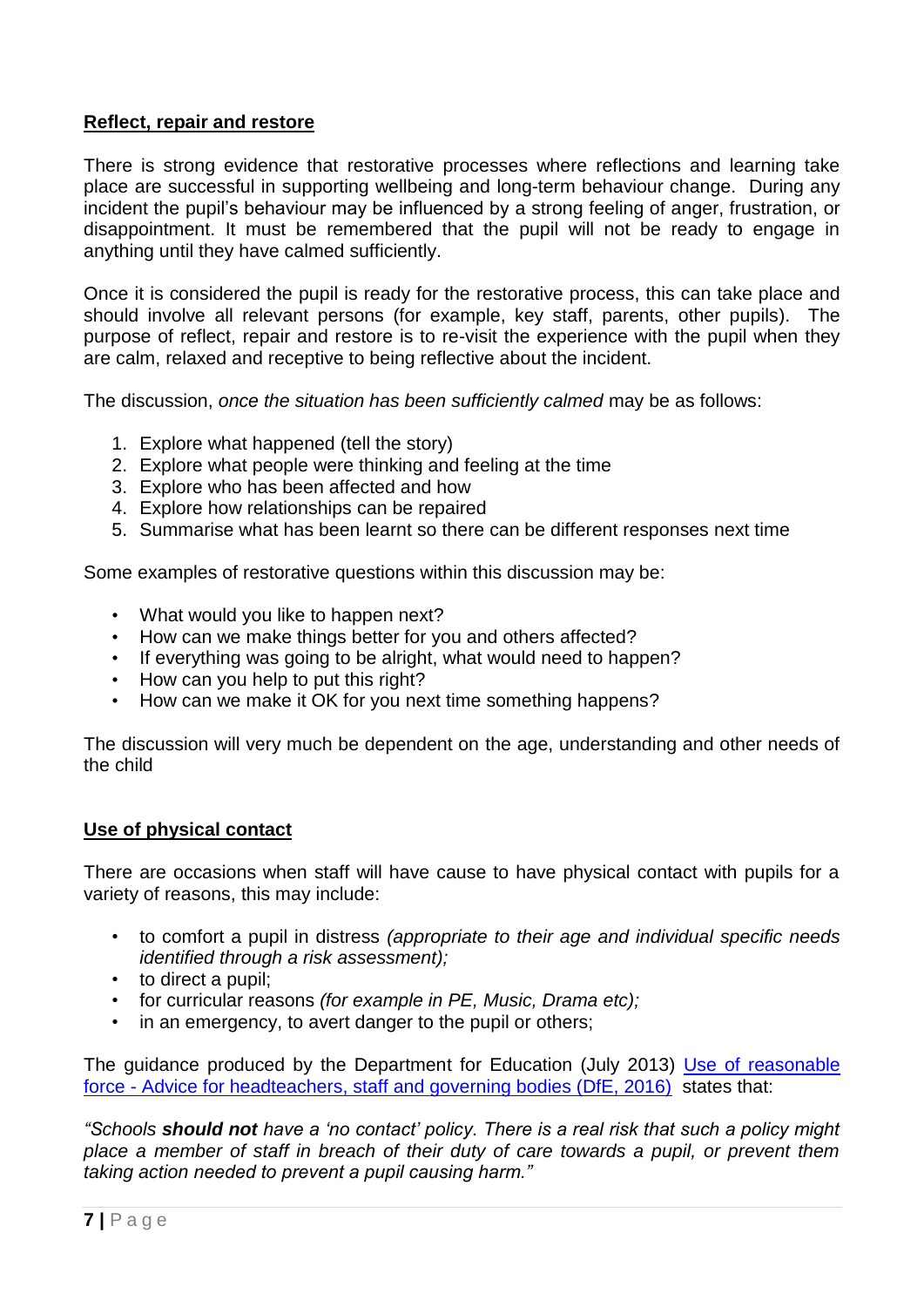# **Reflect, repair and restore**

There is strong evidence that restorative processes where reflections and learning take place are successful in supporting wellbeing and long-term behaviour change. During any incident the pupil's behaviour may be influenced by a strong feeling of anger, frustration, or disappointment. It must be remembered that the pupil will not be ready to engage in anything until they have calmed sufficiently.

Once it is considered the pupil is ready for the restorative process, this can take place and should involve all relevant persons (for example, key staff, parents, other pupils). The purpose of reflect, repair and restore is to re-visit the experience with the pupil when they are calm, relaxed and receptive to being reflective about the incident.

The discussion, *once the situation has been sufficiently calmed* may be as follows:

- 1. Explore what happened (tell the story)
- 2. Explore what people were thinking and feeling at the time
- 3. Explore who has been affected and how
- 4. Explore how relationships can be repaired
- 5. Summarise what has been learnt so there can be different responses next time

Some examples of restorative questions within this discussion may be:

- What would you like to happen next?
- How can we make things better for you and others affected?
- If everything was going to be alright, what would need to happen?
- How can you help to put this right?
- How can we make it OK for you next time something happens?

The discussion will very much be dependent on the age, understanding and other needs of the child

#### **Use of physical contact**

There are occasions when staff will have cause to have physical contact with pupils for a variety of reasons, this may include:

- to comfort a pupil in distress *(appropriate to their age and individual specific needs identified through a risk assessment);*
- to direct a pupil;
- for curricular reasons *(for example in PE, Music, Drama etc);*
- in an emergency, to avert danger to the pupil or others;

The guidance produced by the Department for Education (July 2013) Use of reasonable force - [Advice for headteachers, staff and governing bodies \(DfE, 2016\)](https://www.gov.uk/government/uploads/system/uploads/attachment_data/file/488034/Behaviour_and_Discipline_in_Schools_-_A_guide_for_headteachers_and_School_Staff.pdf) states that:

*"Schools should not have a 'no contact' policy. There is a real risk that such a policy might place a member of staff in breach of their duty of care towards a pupil, or prevent them taking action needed to prevent a pupil causing harm."*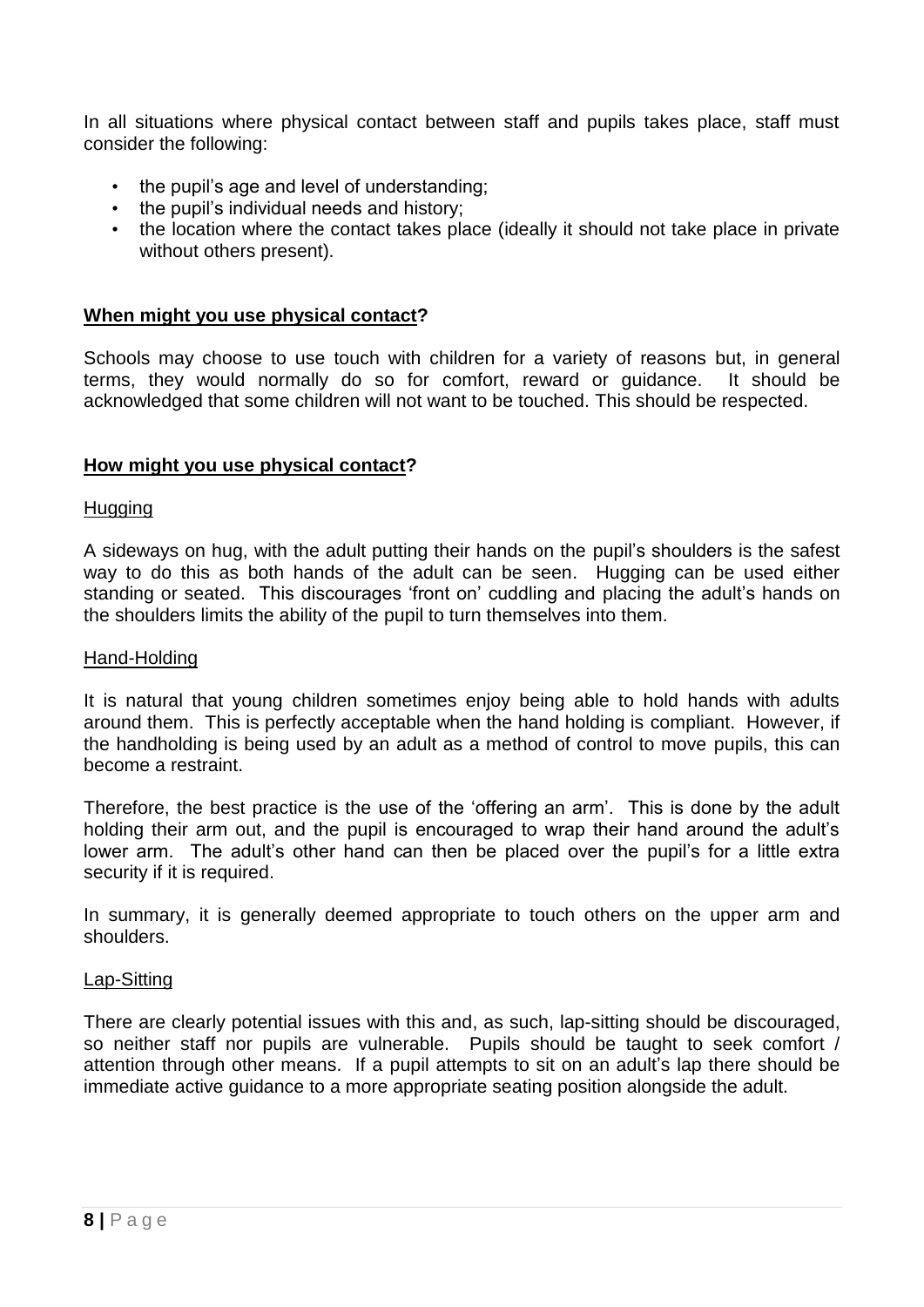In all situations where physical contact between staff and pupils takes place, staff must consider the following:

- the pupil's age and level of understanding;
- the pupil's individual needs and history;
- the location where the contact takes place (ideally it should not take place in private without others present).

#### **When might you use physical contact?**

Schools may choose to use touch with children for a variety of reasons but, in general terms, they would normally do so for comfort, reward or guidance. It should be acknowledged that some children will not want to be touched. This should be respected.

#### **How might you use physical contact?**

#### **Hugging**

A sideways on hug, with the adult putting their hands on the pupil's shoulders is the safest way to do this as both hands of the adult can be seen. Hugging can be used either standing or seated. This discourages 'front on' cuddling and placing the adult's hands on the shoulders limits the ability of the pupil to turn themselves into them.

#### Hand-Holding

It is natural that young children sometimes enjoy being able to hold hands with adults around them. This is perfectly acceptable when the hand holding is compliant. However, if the handholding is being used by an adult as a method of control to move pupils, this can become a restraint.

Therefore, the best practice is the use of the 'offering an arm'. This is done by the adult holding their arm out, and the pupil is encouraged to wrap their hand around the adult's lower arm. The adult's other hand can then be placed over the pupil's for a little extra security if it is required.

In summary, it is generally deemed appropriate to touch others on the upper arm and shoulders.

#### Lap-Sitting

There are clearly potential issues with this and, as such, lap-sitting should be discouraged, so neither staff nor pupils are vulnerable. Pupils should be taught to seek comfort / attention through other means. If a pupil attempts to sit on an adult's lap there should be immediate active guidance to a more appropriate seating position alongside the adult.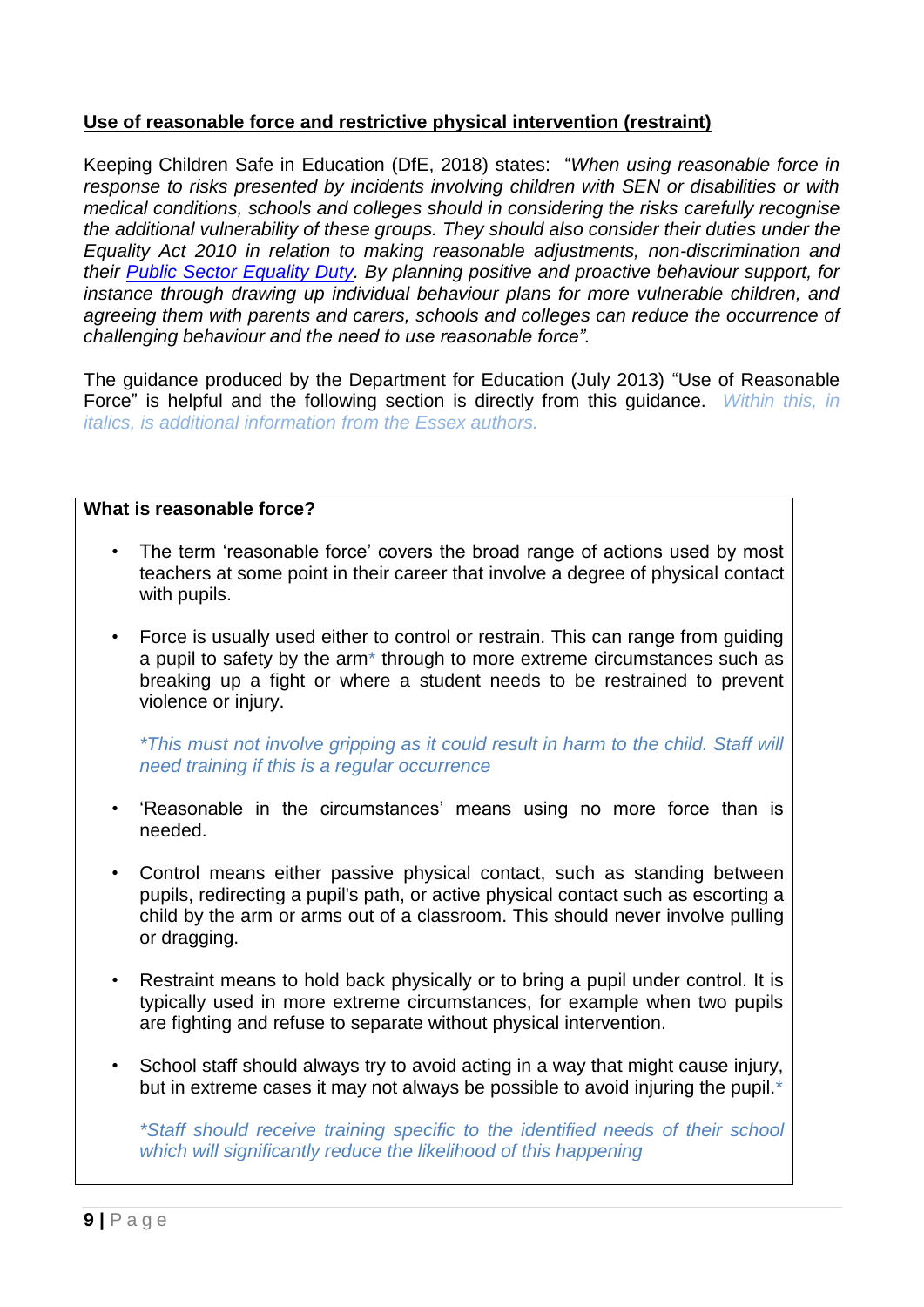# **Use of reasonable force and restrictive physical intervention (restraint)**

Keeping Children Safe in Education (DfE, 2018) states: "*When using reasonable force in response to risks presented by incidents involving children with SEN or disabilities or with medical conditions, schools and colleges should in considering the risks carefully recognise the additional vulnerability of these groups. They should also consider their duties under the Equality Act 2010 in relation to making reasonable adjustments, non-discrimination and their [Public Sector Equality Duty.](http://www.legislation.gov.uk/ukpga/2010/15/section/149) By planning positive and proactive behaviour support, for instance through drawing up individual behaviour plans for more vulnerable children, and agreeing them with parents and carers, schools and colleges can reduce the occurrence of challenging behaviour and the need to use reasonable force".*

The guidance produced by the Department for Education (July 2013) "Use of Reasonable Force" is helpful and the following section is directly from this guidance. *Within this, in italics, is additional information from the Essex authors.*

#### **What is reasonable force?**

- The term 'reasonable force' covers the broad range of actions used by most teachers at some point in their career that involve a degree of physical contact with pupils.
- Force is usually used either to control or restrain. This can range from guiding a pupil to safety by the arm\* through to more extreme circumstances such as breaking up a fight or where a student needs to be restrained to prevent violence or injury.

*\*This must not involve gripping as it could result in harm to the child. Staff will need training if this is a regular occurrence*

- 'Reasonable in the circumstances' means using no more force than is needed.
- Control means either passive physical contact, such as standing between pupils, redirecting a pupil's path, or active physical contact such as escorting a child by the arm or arms out of a classroom. This should never involve pulling or dragging.
- Restraint means to hold back physically or to bring a pupil under control. It is typically used in more extreme circumstances, for example when two pupils are fighting and refuse to separate without physical intervention.
- School staff should always try to avoid acting in a way that might cause injury, but in extreme cases it may not always be possible to avoid injuring the pupil.<sup>\*</sup>

*\*Staff should receive training specific to the identified needs of their school which will significantly reduce the likelihood of this happening*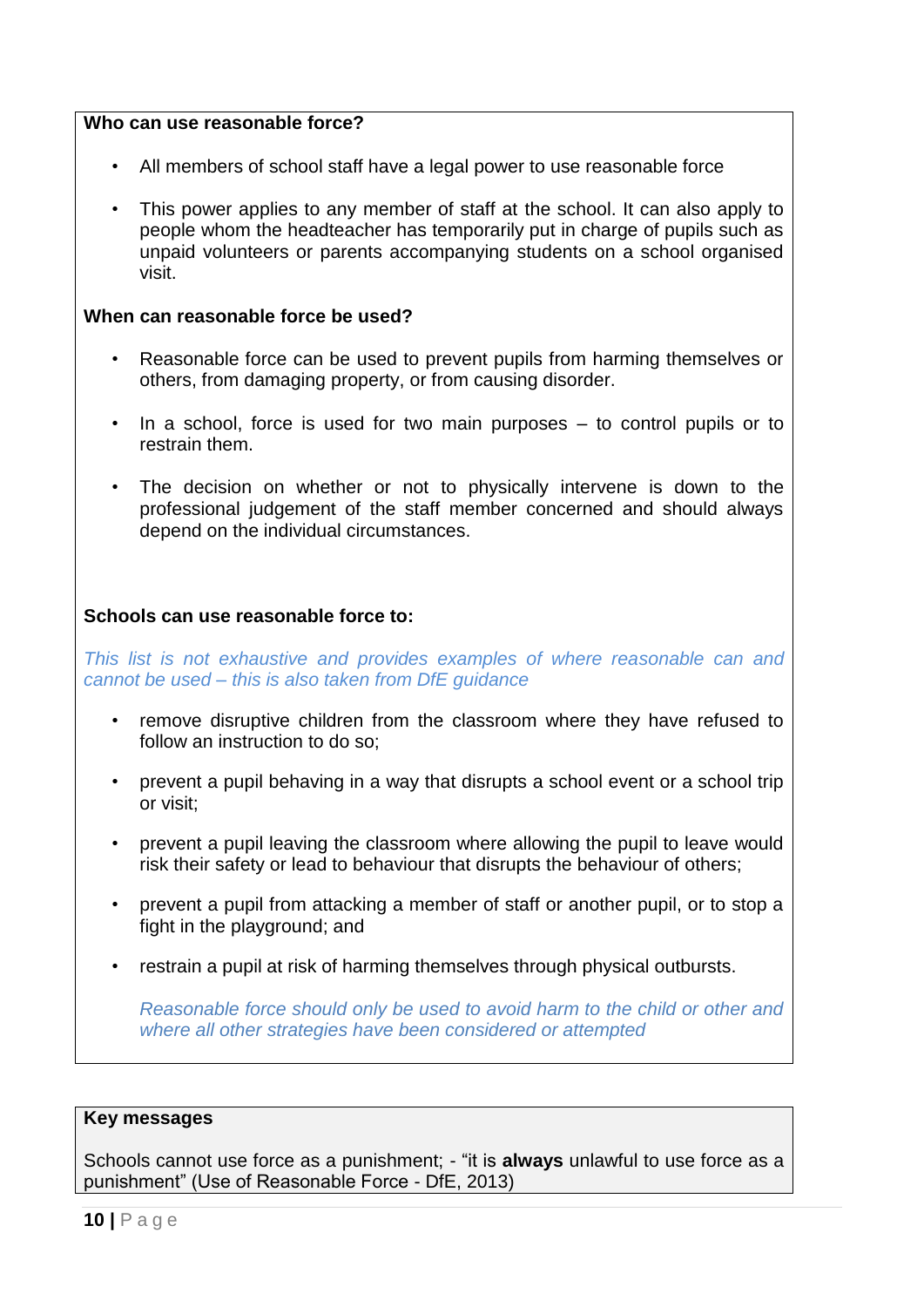#### **Who can use reasonable force?**

- All members of school staff have a legal power to use reasonable force
- This power applies to any member of staff at the school. It can also apply to people whom the headteacher has temporarily put in charge of pupils such as unpaid volunteers or parents accompanying students on a school organised visit.

#### **When can reasonable force be used?**

- Reasonable force can be used to prevent pupils from harming themselves or others, from damaging property, or from causing disorder.
- In a school, force is used for two main purposes to control pupils or to restrain them.
- The decision on whether or not to physically intervene is down to the professional judgement of the staff member concerned and should always depend on the individual circumstances.

#### **Schools can use reasonable force to:**

*This list is not exhaustive and provides examples of where reasonable can and cannot be used – this is also taken from DfE guidance*

- remove disruptive children from the classroom where they have refused to follow an instruction to do so:
- prevent a pupil behaving in a way that disrupts a school event or a school trip or visit;
- prevent a pupil leaving the classroom where allowing the pupil to leave would risk their safety or lead to behaviour that disrupts the behaviour of others;
- prevent a pupil from attacking a member of staff or another pupil, or to stop a fight in the playground; and
- restrain a pupil at risk of harming themselves through physical outbursts.

*Reasonable force should only be used to avoid harm to the child or other and where all other strategies have been considered or attempted*

#### **Key messages**

Schools cannot use force as a punishment; - "it is **always** unlawful to use force as a punishment" (Use of Reasonable Force - DfE, 2013)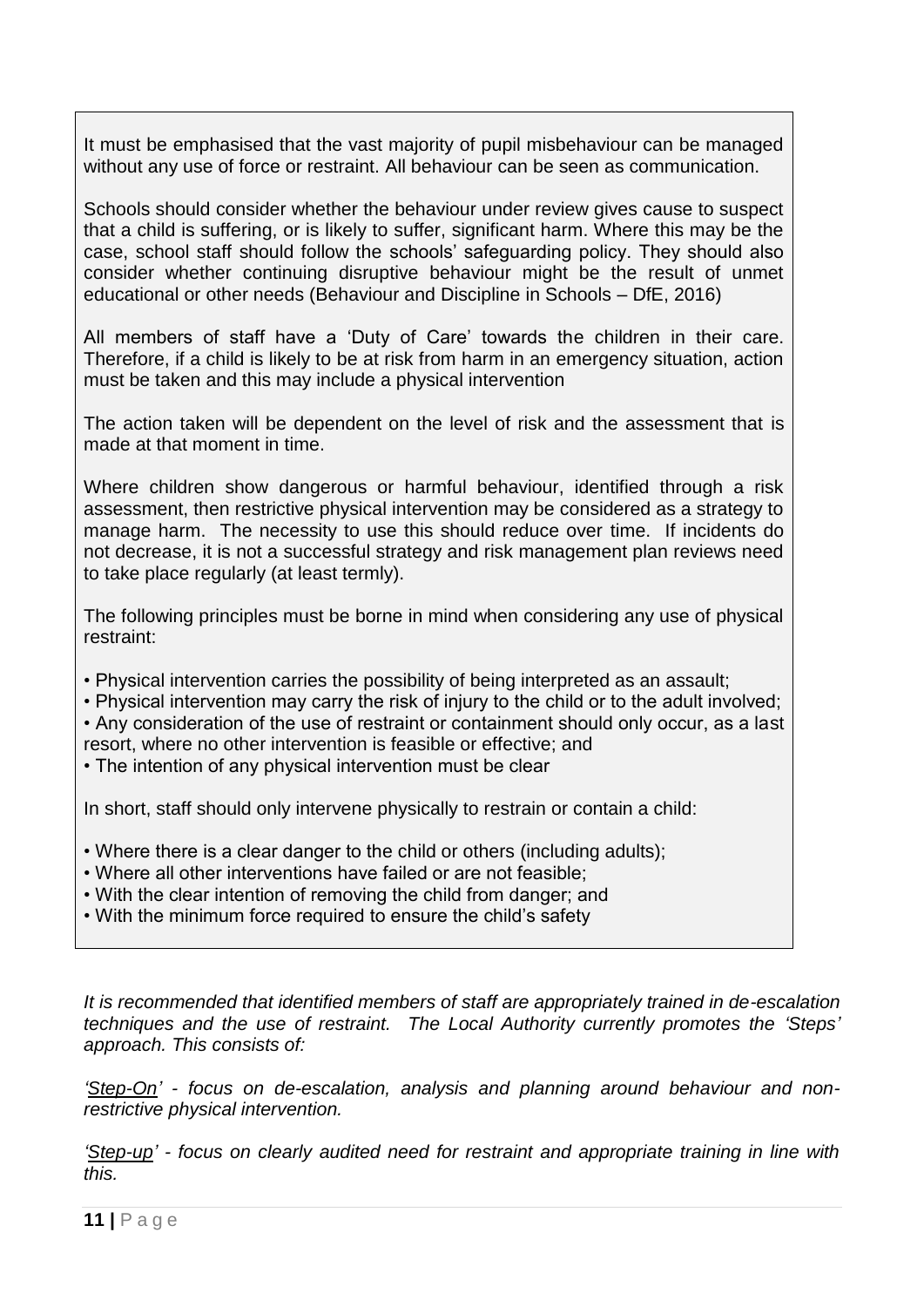It must be emphasised that the vast majority of pupil misbehaviour can be managed without any use of force or restraint. All behaviour can be seen as communication.

Schools should consider whether the behaviour under review gives cause to suspect that a child is suffering, or is likely to suffer, significant harm. Where this may be the case, school staff should follow the schools' safeguarding policy. They should also consider whether continuing disruptive behaviour might be the result of unmet educational or other needs (Behaviour and Discipline in Schools – DfE, 2016)

All members of staff have a 'Duty of Care' towards the children in their care. Therefore, if a child is likely to be at risk from harm in an emergency situation, action must be taken and this may include a physical intervention

The action taken will be dependent on the level of risk and the assessment that is made at that moment in time.

Where children show dangerous or harmful behaviour, identified through a risk assessment, then restrictive physical intervention may be considered as a strategy to manage harm. The necessity to use this should reduce over time. If incidents do not decrease, it is not a successful strategy and risk management plan reviews need to take place regularly (at least termly).

The following principles must be borne in mind when considering any use of physical restraint:

- Physical intervention carries the possibility of being interpreted as an assault;
- Physical intervention may carry the risk of injury to the child or to the adult involved;

• Any consideration of the use of restraint or containment should only occur, as a last resort, where no other intervention is feasible or effective; and

• The intention of any physical intervention must be clear

In short, staff should only intervene physically to restrain or contain a child:

- Where there is a clear danger to the child or others (including adults);
- Where all other interventions have failed or are not feasible;
- With the clear intention of removing the child from danger; and
- With the minimum force required to ensure the child's safety

*It is recommended that identified members of staff are appropriately trained in de-escalation techniques and the use of restraint. The Local Authority currently promotes the 'Steps' approach. This consists of:*

*'Step-On' - focus on de-escalation, analysis and planning around behaviour and nonrestrictive physical intervention.* 

*'Step-up' - focus on clearly audited need for restraint and appropriate training in line with this.*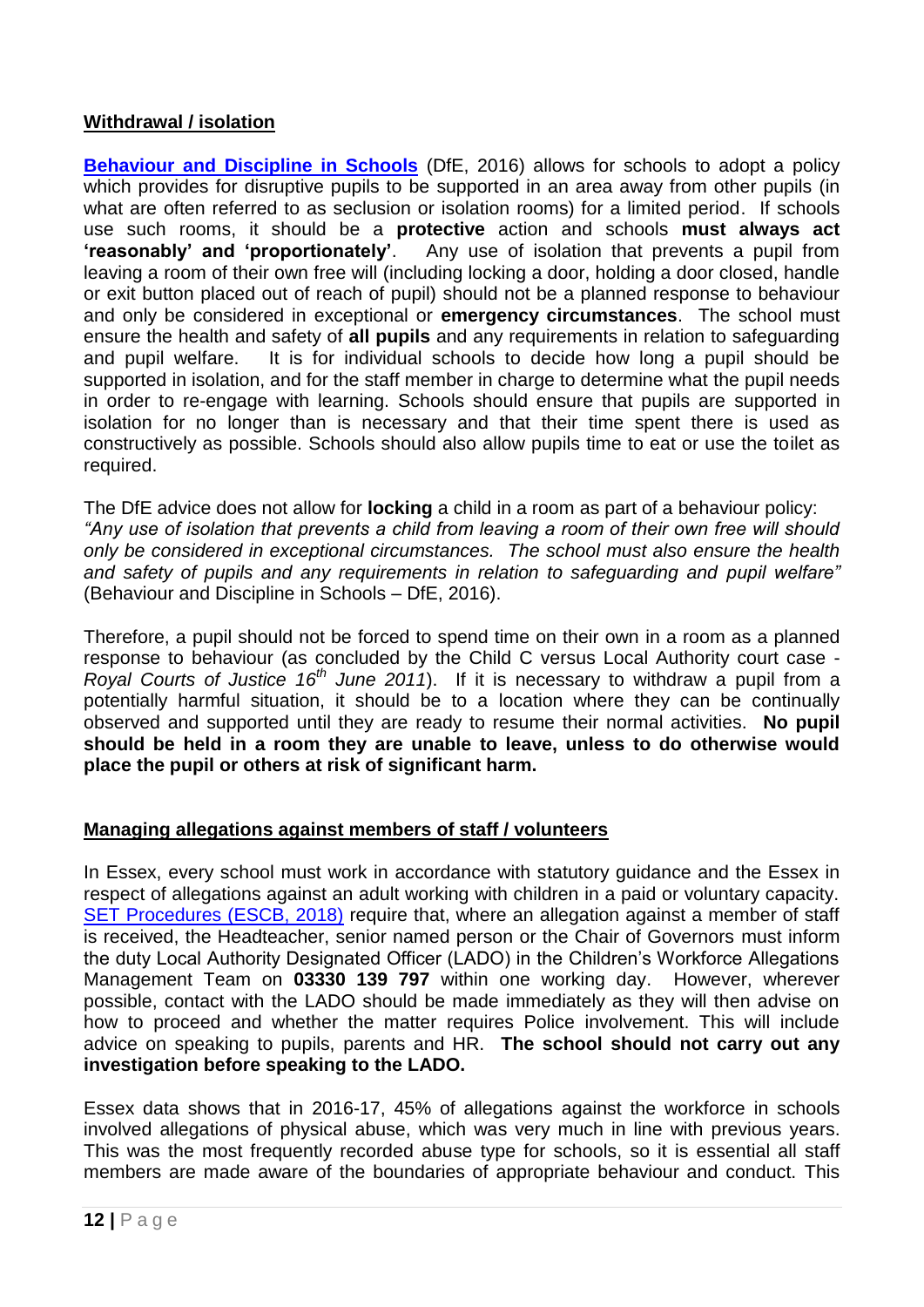# **Withdrawal / isolation**

**[Behaviour and Discipline in Schools](https://www.gov.uk/government/uploads/system/uploads/attachment_data/file/488034/Behaviour_and_Discipline_in_Schools_-_A_guide_for_headteachers_and_School_Staff.pdf)** (DfE, 2016) allows for schools to adopt a policy which provides for disruptive pupils to be supported in an area away from other pupils (in what are often referred to as seclusion or isolation rooms) for a limited period. If schools use such rooms, it should be a **protective** action and schools **must always act 'reasonably' and 'proportionately'**. Any use of isolation that prevents a pupil from leaving a room of their own free will (including locking a door, holding a door closed, handle or exit button placed out of reach of pupil) should not be a planned response to behaviour and only be considered in exceptional or **emergency circumstances**. The school must ensure the health and safety of **all pupils** and any requirements in relation to safeguarding and pupil welfare. It is for individual schools to decide how long a pupil should be supported in isolation, and for the staff member in charge to determine what the pupil needs in order to re-engage with learning. Schools should ensure that pupils are supported in isolation for no longer than is necessary and that their time spent there is used as constructively as possible. Schools should also allow pupils time to eat or use the toilet as required.

The DfE advice does not allow for **locking** a child in a room as part of a behaviour policy: *"Any use of isolation that prevents a child from leaving a room of their own free will should only be considered in exceptional circumstances. The school must also ensure the health and safety of pupils and any requirements in relation to safeguarding and pupil welfare"* (Behaviour and Discipline in Schools – DfE, 2016).

Therefore, a pupil should not be forced to spend time on their own in a room as a planned response to behaviour (as concluded by the Child C versus Local Authority court case - *Royal Courts of Justice 16th June 2011*). If it is necessary to withdraw a pupil from a potentially harmful situation, it should be to a location where they can be continually observed and supported until they are ready to resume their normal activities. **No pupil should be held in a room they are unable to leave, unless to do otherwise would place the pupil or others at risk of significant harm.**

# **Managing allegations against members of staff / volunteers**

In Essex, every school must work in accordance with statutory guidance and the Essex in respect of allegations against an adult working with children in a paid or voluntary capacity. [SET Procedures \(ESCB, 2018\)](http://www.escb.co.uk/Portals/67/Documents/Local%20Practices/SET%20Procedures-Jan2018-updated.pdf) require that, where an allegation against a member of staff is received, the Headteacher, senior named person or the Chair of Governors must inform the duty Local Authority Designated Officer (LADO) in the Children's Workforce Allegations Management Team on **03330 139 797** within one working day. However, wherever possible, contact with the LADO should be made immediately as they will then advise on how to proceed and whether the matter requires Police involvement. This will include advice on speaking to pupils, parents and HR. **The school should not carry out any investigation before speaking to the LADO.**

Essex data shows that in 2016-17, 45% of allegations against the workforce in schools involved allegations of physical abuse, which was very much in line with previous years. This was the most frequently recorded abuse type for schools, so it is essential all staff members are made aware of the boundaries of appropriate behaviour and conduct. This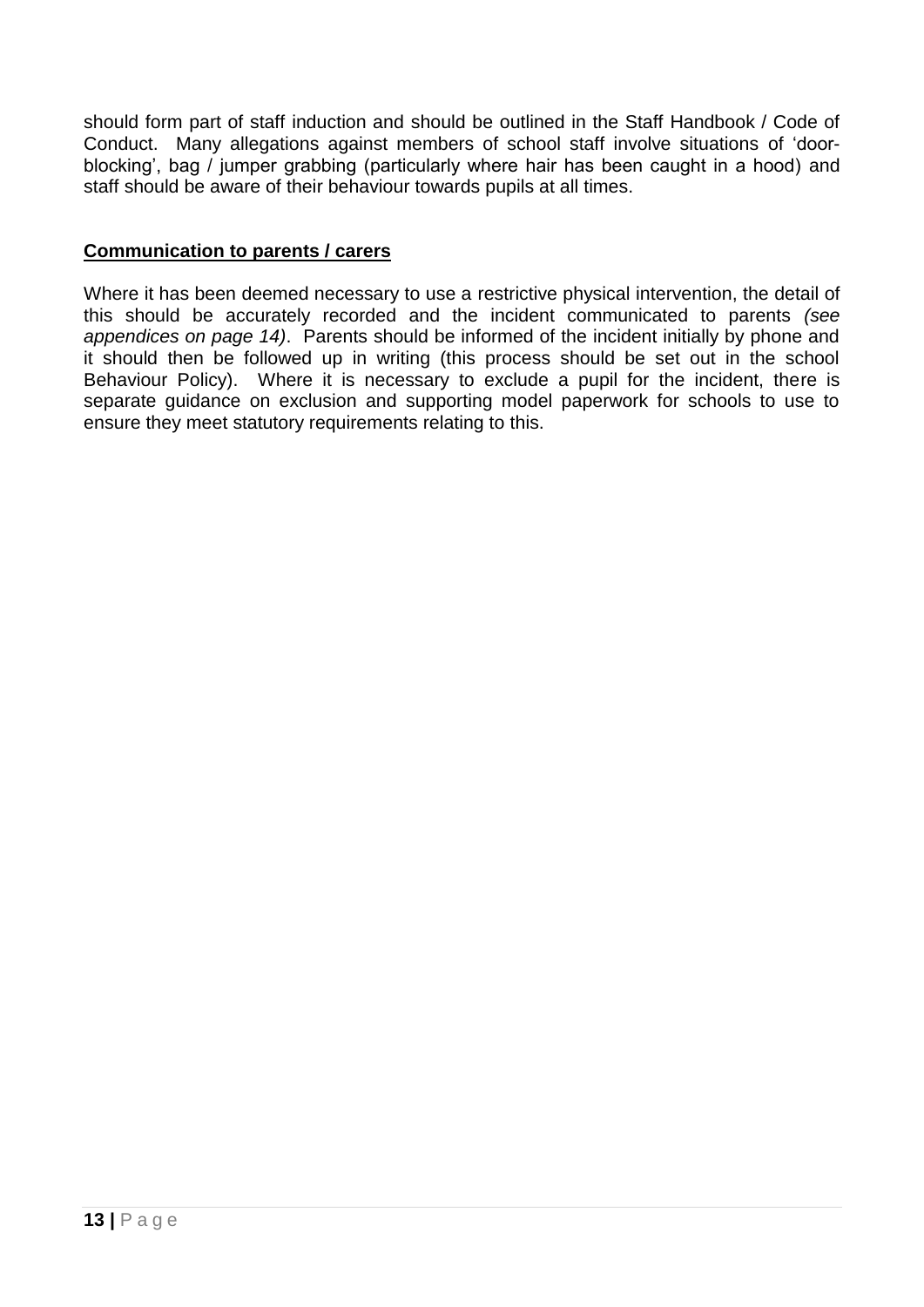should form part of staff induction and should be outlined in the Staff Handbook / Code of Conduct. Many allegations against members of school staff involve situations of 'doorblocking', bag / jumper grabbing (particularly where hair has been caught in a hood) and staff should be aware of their behaviour towards pupils at all times.

#### **Communication to parents / carers**

Where it has been deemed necessary to use a restrictive physical intervention, the detail of this should be accurately recorded and the incident communicated to parents *(see appendices on page 14)*. Parents should be informed of the incident initially by phone and it should then be followed up in writing (this process should be set out in the school Behaviour Policy). Where it is necessary to exclude a pupil for the incident, there is separate guidance on exclusion and supporting model paperwork for schools to use to ensure they meet statutory requirements relating to this.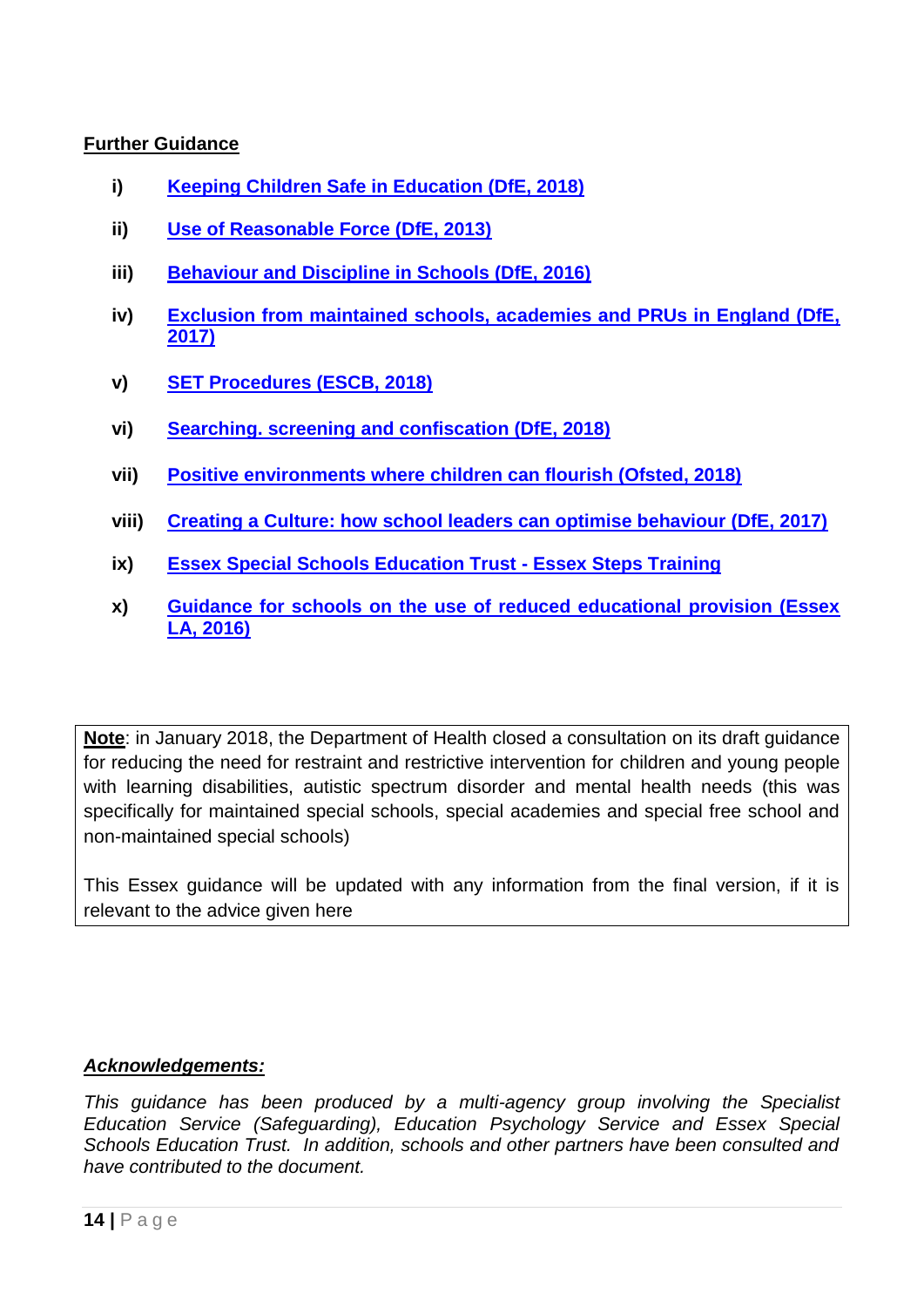# **Further Guidance**

- **i) [Keeping Children Safe in Education \(DfE, 2018\)](https://www.gov.uk/government/publications/keeping-children-safe-in-education--2)**
- **ii) [Use of Reasonable Force \(DfE, 2013\)](https://www.gov.uk/government/uploads/system/uploads/attachment_data/file/444051/Use_of_reasonable_force_advice_Reviewed_July_2015.pdf)**
- **iii) [Behaviour and Discipline in Schools \(DfE, 2016\)](https://www.gov.uk/government/uploads/system/uploads/attachment_data/file/488034/Behaviour_and_Discipline_in_Schools_-_A_guide_for_headteachers_and_School_Staff.pdf)**
- **iv) [Exclusion from maintained schools, academies and PRUs in England \(DfE,](https://assets.publishing.service.gov.uk/government/uploads/system/uploads/attachment_data/file/641418/20170831_Exclusion_Stat_guidance_Web_version.pdf)  [2017\)](https://assets.publishing.service.gov.uk/government/uploads/system/uploads/attachment_data/file/641418/20170831_Exclusion_Stat_guidance_Web_version.pdf)**
- **v) [SET Procedures \(ESCB, 2018\)](http://www.escb.co.uk/Portals/67/SET%20Procedures-April%202017-updated.pdf)**
- **vi) [Searching. screening and confiscation \(DfE, 2018\)](https://www.gov.uk/government/uploads/system/uploads/attachment_data/file/674416/Searching_screening_and_confiscation.pdf?mc_cid=30fb7d16ea&mc_eid=c306408d2b)**
- **vii) [Positive environments where children can flourish \(Ofsted, 2018\)](https://assets.publishing.service.gov.uk/government/uploads/system/uploads/attachment_data/file/693446/Environments_where_children_can_flourish.pdf)**
- **viii) [Creating a Culture: how school leaders can optimise behaviour \(DfE, 2017\)](https://assets.publishing.service.gov.uk/government/uploads/system/uploads/attachment_data/file/602487/Tom_Bennett_Independent_Review_of_Behaviour_in_Schools.pdf)**
- **ix) [Essex Special Schools Education Trust -](http://esset.org.uk/course/essex-steps/) Essex Steps Training**
- **x) [Guidance for schools on the use of reduced educational provision \(Essex](https://schools-secure.essex.gov.uk/pupils/MECE/Documents/Guidance%20for%20Schools%20on%20the%20Use%20of%20Reduced%20Timetables%20October%202016.pdf)  [LA, 2016\)](https://schools-secure.essex.gov.uk/pupils/MECE/Documents/Guidance%20for%20Schools%20on%20the%20Use%20of%20Reduced%20Timetables%20October%202016.pdf)**

**Note**: in January 2018, the Department of Health closed a consultation on its draft guidance for reducing the need for restraint and restrictive intervention for children and young people with learning disabilities, autistic spectrum disorder and mental health needs (this was specifically for maintained special schools, special academies and special free school and non-maintained special schools)

This Essex guidance will be updated with any information from the final version, if it is relevant to the advice given here

# *Acknowledgements:*

*This guidance has been produced by a multi-agency group involving the Specialist Education Service (Safeguarding), Education Psychology Service and Essex Special Schools Education Trust. In addition, schools and other partners have been consulted and have contributed to the document.*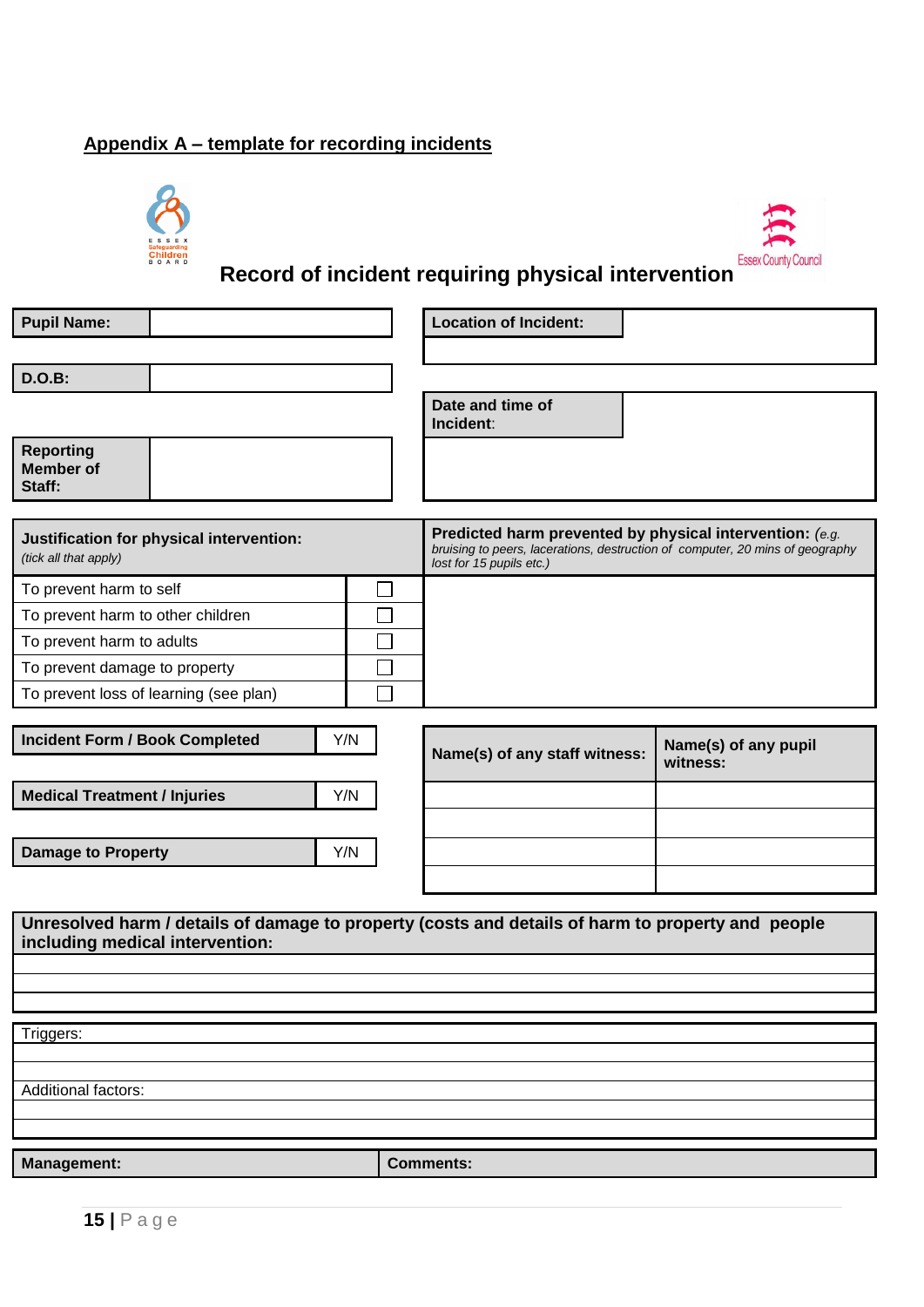# **Appendix A – template for recording incidents**





# **Record of incident requiring physical intervention**

|            | <b>Location of Incident:</b>                                                                                                                                          |
|------------|-----------------------------------------------------------------------------------------------------------------------------------------------------------------------|
|            |                                                                                                                                                                       |
|            | Date and time of<br>Incident:                                                                                                                                         |
|            |                                                                                                                                                                       |
|            | Predicted harm prevented by physical intervention: (e.g.<br>bruising to peers, lacerations, destruction of computer, 20 mins of geography<br>lost for 15 pupils etc.) |
|            |                                                                                                                                                                       |
|            |                                                                                                                                                                       |
|            |                                                                                                                                                                       |
|            |                                                                                                                                                                       |
|            |                                                                                                                                                                       |
| Y/N<br>Y/N | Name(s) of any pupil<br>Name(s) of any staff witness:<br>witness:                                                                                                     |
| Y/N        |                                                                                                                                                                       |
|            |                                                                                                                                                                       |
|            | Unresolved harm / details of damage to property (costs and details of harm to property and people                                                                     |
|            |                                                                                                                                                                       |
|            |                                                                                                                                                                       |
|            | <b>Comments:</b>                                                                                                                                                      |
|            |                                                                                                                                                                       |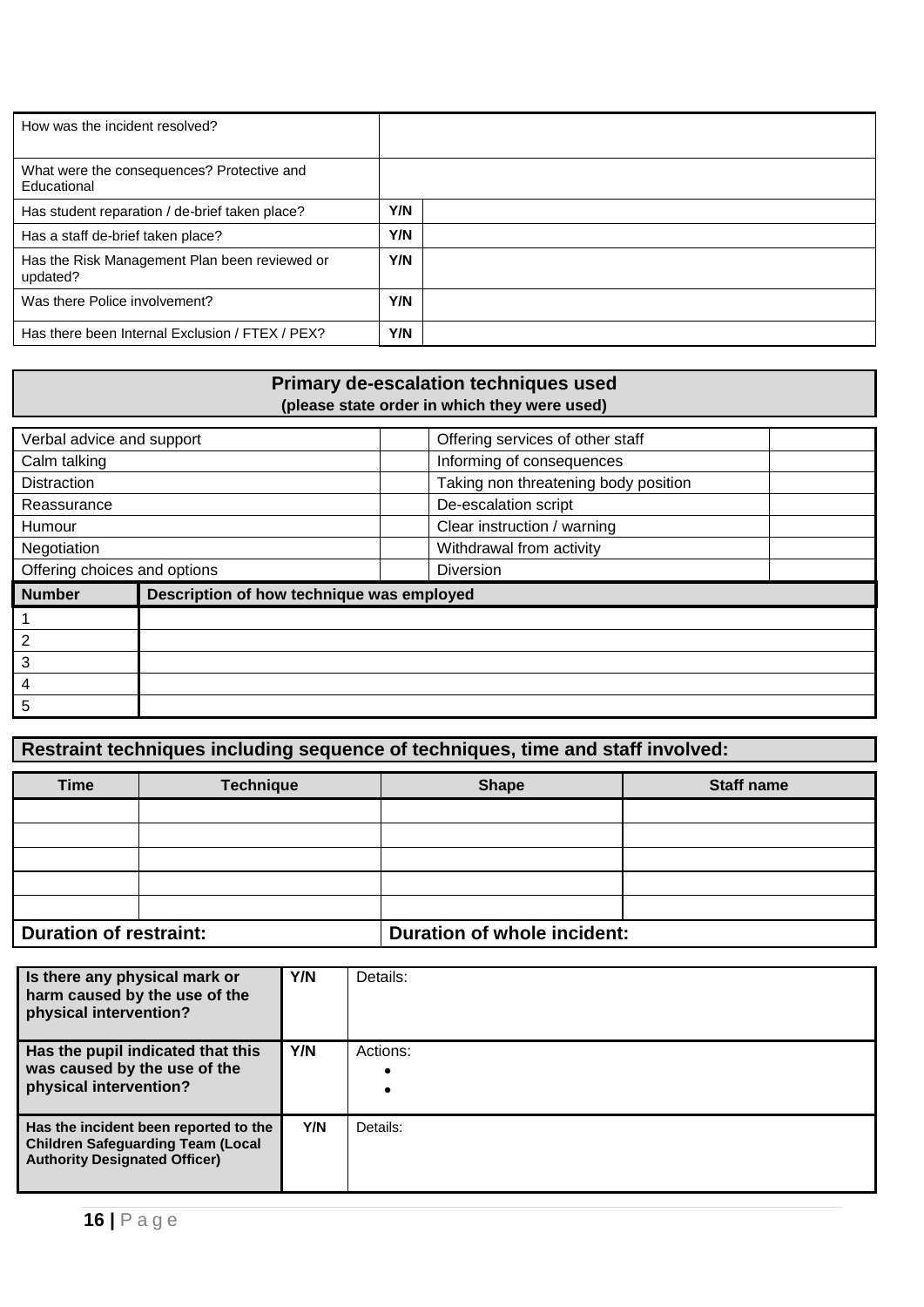| How was the incident resolved?                            |     |  |
|-----------------------------------------------------------|-----|--|
| What were the consequences? Protective and<br>Educational |     |  |
| Has student reparation / de-brief taken place?            | Y/N |  |
| Has a staff de-brief taken place?                         | Y/N |  |
| Has the Risk Management Plan been reviewed or<br>updated? | Y/N |  |
| Was there Police involvement?                             | Y/N |  |
| Has there been Internal Exclusion / FTEX / PEX?           | Y/N |  |

# **Primary de-escalation techniques used (please state order in which they were used)**

| Verbal advice and support    |                                           | Offering services of other staff     |  |
|------------------------------|-------------------------------------------|--------------------------------------|--|
| Calm talking                 |                                           | Informing of consequences            |  |
| <b>Distraction</b>           |                                           | Taking non threatening body position |  |
| Reassurance                  |                                           | De-escalation script                 |  |
| Humour                       |                                           | Clear instruction / warning          |  |
| Negotiation                  |                                           | Withdrawal from activity             |  |
| Offering choices and options |                                           | Diversion                            |  |
| <b>Number</b>                |                                           |                                      |  |
|                              | Description of how technique was employed |                                      |  |
|                              |                                           |                                      |  |
| $\overline{2}$               |                                           |                                      |  |
| 3                            |                                           |                                      |  |
| 4                            |                                           |                                      |  |

# **Restraint techniques including sequence of techniques, time and staff involved:**

| Time                          | <b>Technique</b> | <b>Shape</b>                       | <b>Staff name</b> |
|-------------------------------|------------------|------------------------------------|-------------------|
|                               |                  |                                    |                   |
|                               |                  |                                    |                   |
|                               |                  |                                    |                   |
|                               |                  |                                    |                   |
|                               |                  |                                    |                   |
| <b>Duration of restraint:</b> |                  | <b>Duration of whole incident:</b> |                   |

| Is there any physical mark or<br>harm caused by the use of the<br>physical intervention?                                  | Y/N | Details:              |
|---------------------------------------------------------------------------------------------------------------------------|-----|-----------------------|
| Has the pupil indicated that this<br>was caused by the use of the<br>physical intervention?                               | Y/N | Actions:<br>$\bullet$ |
| Has the incident been reported to the<br><b>Children Safeguarding Team (Local</b><br><b>Authority Designated Officer)</b> | Y/N | Details:              |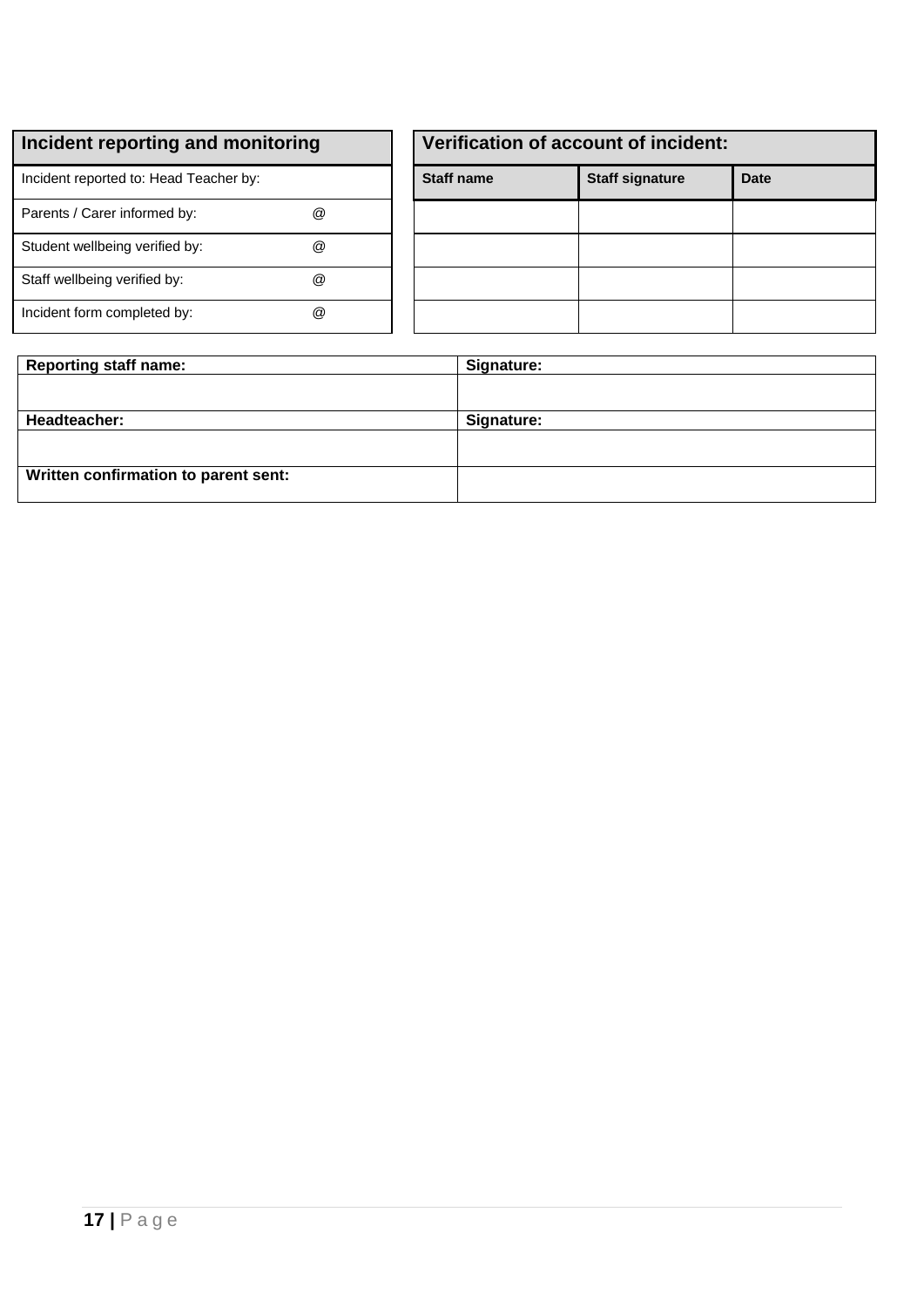Incident reported to: Head Teacher by:

| Parents / Carer informed by:   | $^{\textregistered}$ |
|--------------------------------|----------------------|
| Student wellbeing verified by: | $^{\textregistered}$ |
| Staff wellbeing verified by:   | $^{\textregistered}$ |
| Incident form completed by:    | @                    |

| Verification of account of incident: |                        |             |  |
|--------------------------------------|------------------------|-------------|--|
| <b>Staff name</b>                    | <b>Staff signature</b> | <b>Date</b> |  |
|                                      |                        |             |  |
|                                      |                        |             |  |
|                                      |                        |             |  |
|                                      |                        |             |  |

| <b>Reporting staff name:</b>         | Signature: |  |
|--------------------------------------|------------|--|
|                                      |            |  |
| Headteacher:                         | Signature: |  |
|                                      |            |  |
|                                      |            |  |
| Written confirmation to parent sent: |            |  |

÷,